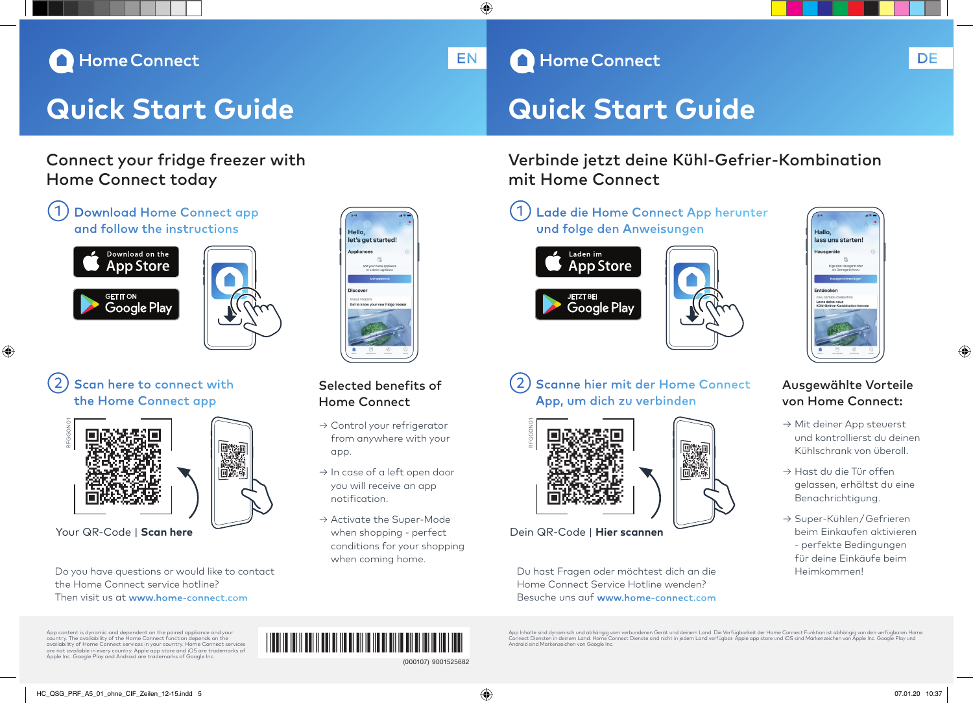# Home Connect

# **Quick Start Guide Quick Start Guide**

# Connect your fridge freezer with Home Connect today

# Download Home Connect app and follow the instructions



◈



# Scan here to connect with the Home Connect app



Do you have questions or would like to contact the Home Connect service hotline? Then visit us at www.home-connect.com

# Selected benefits of

Hello

let's net started

- Home Connect → Control your refrigerator
- from anywhere with your app.
- → In case of a left open door you will receive an app notification.
- → Activate the Super-Mode when shopping - perfect conditions for your shopping when coming home. Your QR-Code | **Scan here**  $\overline{\phantom{a}}$  **Scannen** when shopping - perfect **Dein QR-Code | Hier scannen**





App, um dich zu verbinden

RFGG0N01

€

Du hast Fragen oder möchtest dich an die Home Connect Service Hotline wenden? Besuche uns auf www.home-connect.com

mit Home Connect



Verbinde jetzt deine Kühl-Gefrier-Kombination

 $\overline{\phantom{a}}$  and  $\overline{\phantom{a}}$  and  $\overline{\phantom{a}}$  and  $\overline{\phantom{a}}$  and  $\overline{\phantom{a}}$  and  $\overline{\phantom{a}}$  it numbers  $\overline{\phantom{a}}$ 

# Scanne hier mit der Home Connect



# Ausgewählte Vorteile von Home Connect:

- → Mit deiner App steuerst und kontrollierst du deinen Kühlschrank von überall.
- → Hast du die Tür offen gelassen, erhältst du eine Benachrichtigung.
- → Super-Kühlen / Gefrieren beim Einkaufen aktivieren - perfekte Bedingungen für deine Einkäufe beim Heimkommen!

App content is dynamic and dependent on the paired appliance and your country. The availability of the Home Connect function depends on the availability of Home Connect services in your country. Home Connect services are not available in every country. Apple app store and iOS are trademarks of Apple Inc. Google Play and Android are trademarks of Google Inc.

# 9001525682 (000107) <u>1901 | 1911 | 1911 | 1913 | 1914 | 1915 | 1916 | 1916 | 1916 | 1916 | 1916 | 1916 | 191</u>

App Inhalte sind dynamisch und abhängig vom verbundenen Gerät und deinem Land. Die Verfügbarkeit der Home Connect Funktion ist abhängig von den verfügbaren Home<br>Connect Diensten in deinem Land. Home Connect Dienste sind ni

EN A Home Connect And A Home Connect A Maria Connect A Maria Connect A Maria Connect A Maria Connect A Maria C

HC\_QSG\_PRF\_A5\_01\_ohne\_CIF\_Zeilen\_12-15.indd 5 07.01.20 10:37